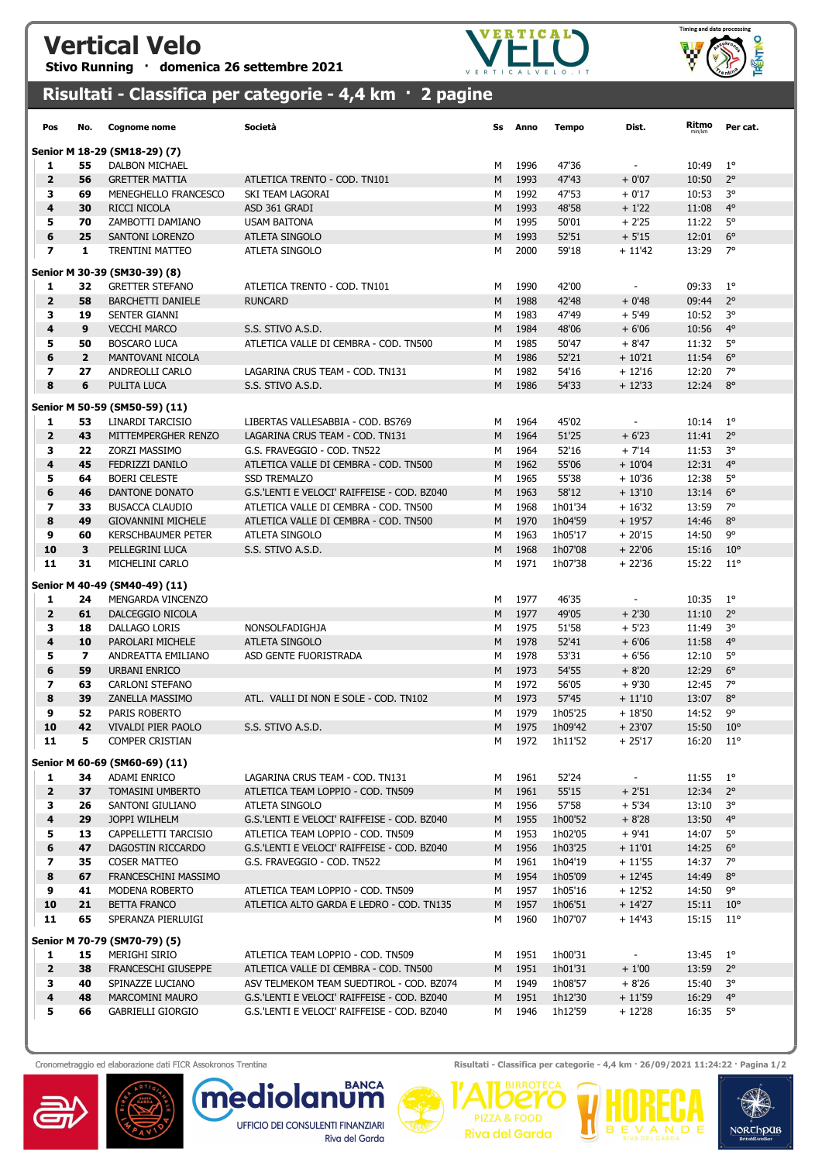## Vertical Velo

Stivo Running · domenica 26 settembre 2021





## Risultati - Classifica per categorie - 4,4 km · 2 pagine

| Pos                           | No.                  | <b>Cognome nome</b>                        | Società                                     | Ss     | Anno         | Tempo          | Dist.                    | Ritmo          | Per cat.                     |  |  |
|-------------------------------|----------------------|--------------------------------------------|---------------------------------------------|--------|--------------|----------------|--------------------------|----------------|------------------------------|--|--|
| Senior M 18-29 (SM18-29) (7)  |                      |                                            |                                             |        |              |                |                          |                |                              |  |  |
| 1                             | 55                   | DALBON MICHAEL                             |                                             | М      | 1996         | 47'36          | $\overline{\phantom{a}}$ | 10:49          | $1^{\circ}$                  |  |  |
| $\overline{2}$                | 56                   | <b>GRETTER MATTIA</b>                      | ATLETICA TRENTO - COD. TN101                | M      | 1993         | 47'43          | $+0'07$                  | 10:50          | $2^{\circ}$                  |  |  |
| з                             | 69                   | MENEGHELLO FRANCESCO                       | SKI TEAM LAGORAI                            | м      | 1992         | 47'53          | $+0'17$                  | 10:53          | 3°                           |  |  |
| 4                             | 30                   | RICCI NICOLA                               | ASD 361 GRADI                               | M      | 1993         | 48'58          | $+1'22$                  | 11:08          | $4^\circ$                    |  |  |
| 5                             | 70                   | ZAMBOTTI DAMIANO                           | <b>USAM BAITONA</b>                         | M      | 1995         | 50'01          | $+2'25$                  | 11:22          | $5^\circ$                    |  |  |
| 6                             | 25                   | <b>SANTONI LORENZO</b>                     | <b>ATLETA SINGOLO</b>                       | M      | 1993         | 52'51          | $+5'15$                  | 12:01          | $6^{\circ}$                  |  |  |
| $\overline{\phantom{a}}$      | 1                    | <b>TRENTINI MATTEO</b>                     | ATLETA SINGOLO                              | М      | 2000         | 59'18          | $+11'42$                 | 13:29          | $7^\circ$                    |  |  |
| Senior M 30-39 (SM30-39) (8)  |                      |                                            |                                             |        |              |                |                          |                |                              |  |  |
| 1                             | 32                   | <b>GRETTER STEFANO</b>                     | ATLETICA TRENTO - COD. TN101                | М      | 1990         | 42'00          | $\blacksquare$           | 09:33          | $1^{\circ}$                  |  |  |
| $\overline{\mathbf{2}}$       | 58                   | <b>BARCHETTI DANIELE</b>                   | <b>RUNCARD</b>                              | M      | 1988         | 42'48          | $+0'48$                  | 09:44          | $2^{\circ}$                  |  |  |
| з                             | 19                   | <b>SENTER GIANNI</b>                       |                                             | М      | 1983         | 47'49          | $+5'49$                  | 10:52          | 3°                           |  |  |
| 4                             | 9                    | <b>VECCHI MARCO</b>                        | S.S. STIVO A.S.D.                           | M      | 1984         | 48'06          | $+6'06$                  | 10:56          | $4^\circ$                    |  |  |
| 5                             | 50                   | <b>BOSCARO LUCA</b>                        | ATLETICA VALLE DI CEMBRA - COD. TN500       | М      | 1985         | 50'47          | $+8'47$                  | 11:32          | 5°                           |  |  |
| 6                             | $\overline{2}$       | MANTOVANI NICOLA                           |                                             | M      | 1986         | 52'21          | $+10'21$                 | 11:54          | $6^{\circ}$                  |  |  |
| 7                             | 27                   | ANDREOLLI CARLO                            | LAGARINA CRUS TEAM - COD. TN131             | м      | 1982         | 54'16          | $+12'16$                 | 12:20          | 7°                           |  |  |
| 8                             | 6                    | PULITA LUCA                                | S.S. STIVO A.S.D.                           | M      | 1986         | 54'33          | $+12'33$                 | 12:24          | $8^{\circ}$                  |  |  |
|                               |                      | Senior M 50-59 (SM50-59) (11)              |                                             |        |              |                |                          |                |                              |  |  |
| 1                             | 53                   | LINARDI TARCISIO                           | LIBERTAS VALLESABBIA - COD. BS769           | M      | 1964         | 45'02          | $\overline{\phantom{a}}$ | 10:14          | $1^{\circ}$                  |  |  |
| $\mathbf{2}$                  | 43                   | MITTEMPERGHER RENZO                        | LAGARINA CRUS TEAM - COD. TN131             | M      | 1964         | 51'25          | $+6'23$                  | 11:41          | $2^{\circ}$                  |  |  |
| з                             | 22                   | ZORZI MASSIMO                              | G.S. FRAVEGGIO - COD. TN522                 | M      | 1964         | 52'16          | $+7'14$                  | 11:53          | 3°                           |  |  |
| 4                             | 45                   | FEDRIZZI DANILO                            | ATLETICA VALLE DI CEMBRA - COD. TN500       | M      | 1962         | 55'06          | $+10'04$                 | 12:31          | $4^{\circ}$                  |  |  |
| 5                             | 64                   | <b>BOERI CELESTE</b>                       | <b>SSD TREMALZO</b>                         | М      | 1965         | 55'38          | $+10'36$                 | 12:38          | 5°                           |  |  |
| 6                             | 46                   | DANTONE DONATO                             | G.S.'LENTI E VELOCI' RAIFFEISE - COD. BZ040 | M      | 1963         | 58'12          | $+13'10$                 | 13:14          | $6^{\circ}$                  |  |  |
| $\overline{\phantom{a}}$      | 33                   | <b>BUSACCA CLAUDIO</b>                     | ATLETICA VALLE DI CEMBRA - COD. TN500       | м      | 1968         | 1h01'34        | $+16'32$                 | 13:59          | $7^\circ$                    |  |  |
| 8                             | 49                   | <b>GIOVANNINI MICHELE</b>                  | ATLETICA VALLE DI CEMBRA - COD. TN500       | M      | 1970         | 1h04'59        | $+19'57$                 | 14:46          | $8^{\circ}$                  |  |  |
| 9                             | 60                   | <b>KERSCHBAUMER PETER</b>                  | ATLETA SINGOLO                              | М      | 1963         | 1h05'17        | $+20'15$                 | 14:50          | 9°                           |  |  |
| 10<br>11                      | 3<br>31              | PELLEGRINI LUCA                            | S.S. STIVO A.S.D.                           | M      | 1968<br>1971 | 1h07'08        | $+22'06$                 | 15:16          | $10^{\circ}$<br>$11^{\circ}$ |  |  |
|                               |                      | MICHELINI CARLO                            |                                             | М      |              | 1h07'38        | $+22'36$                 | 15:22          |                              |  |  |
|                               |                      | Senior M 40-49 (SM40-49) (11)              |                                             |        |              |                |                          |                |                              |  |  |
| 1                             | 24                   | MENGARDA VINCENZO                          |                                             | М      | 1977         | 46'35          | $\overline{\phantom{a}}$ | 10:35          | $1^{\circ}$                  |  |  |
| $\overline{2}$                | 61                   | DALCEGGIO NICOLA                           |                                             | M      | 1977         | 49'05          | $+2'30$                  | 11:10          | $2^{\circ}$                  |  |  |
| з                             | 18                   | DALLAGO LORIS                              | NONSOLFADIGHJA                              | M      | 1975         | 51'58          | $+5'23$                  | 11:49          | 3°                           |  |  |
| 4                             | 10                   | PAROLARI MICHELE                           | ATLETA SINGOLO                              | M      | 1978         | 52'41          | $+6'06$                  | 11:58          | $4^{\circ}$                  |  |  |
| 5                             | $\overline{ }$<br>59 | ANDREATTA EMILIANO<br><b>URBANI ENRICO</b> | ASD GENTE FUORISTRADA                       | М      | 1978         | 53'31          | $+6'56$                  | 12:10          | $5^\circ$<br>$6^{\circ}$     |  |  |
| 6<br>$\overline{\phantom{a}}$ | 63                   | <b>CARLONI STEFANO</b>                     |                                             | M<br>М | 1973<br>1972 | 54'55<br>56'05 | $+8'20$<br>$+9'30$       | 12:29<br>12:45 | $7^\circ$                    |  |  |
| 8                             | 39                   | <b>ZANELLA MASSIMO</b>                     | ATL. VALLI DI NON E SOLE - COD. TN102       | M      | 1973         | 57'45          | $+11'10$                 | 13:07          | $8^{\circ}$                  |  |  |
| 9                             | 52                   | <b>PARIS ROBERTO</b>                       |                                             | М      | 1979         | 1h05'25        | $+18'50$                 | 14:52          | 9°                           |  |  |
| 10                            | 42                   | VIVALDI PIER PAOLO                         | S.S. STIVO A.S.D.                           | M      | 1975         | 1h09'42        | $+23'07$                 | 15:50          | $10^{\circ}$                 |  |  |
| 11                            | 5                    | <b>COMPER CRISTIAN</b>                     |                                             | M      |              | 1972 1h11'52   | $+25'17$                 | 16:20          | $11^{\circ}$                 |  |  |
|                               |                      | Senior M 60-69 (SM60-69) (11)              |                                             |        |              |                |                          |                |                              |  |  |
| 1                             | 34                   | ADAMI ENRICO                               | LAGARINA CRUS TEAM - COD. TN131             | м      | 1961         | 52'24          | $\sim$                   | 11:55          | $1^{\circ}$                  |  |  |
| $\overline{2}$                | 37                   | <b>TOMASINI UMBERTO</b>                    | ATLETICA TEAM LOPPIO - COD. TN509           | M      | 1961         | 55'15          | $+2'51$                  | 12:34          | $2^{\circ}$                  |  |  |
| 3                             | 26                   | SANTONI GIULIANO                           | ATLETA SINGOLO                              | м      | 1956         | 57'58          | $+5'34$                  | 13:10          | $3^{\circ}$                  |  |  |
| 4                             | 29                   | JOPPI WILHELM                              | G.S.'LENTI E VELOCI' RAIFFEISE - COD. BZ040 | M      | 1955         | 1h00'52        | $+8'28$                  | 13:50          | $4^{\circ}$                  |  |  |
| 5                             | 13                   | CAPPELLETTI TARCISIO                       | ATLETICA TEAM LOPPIO - COD. TN509           | м      | 1953         | 1h02'05        | $+9'41$                  | 14:07          | 5°                           |  |  |
| 6                             | 47                   | DAGOSTIN RICCARDO                          | G.S.'LENTI E VELOCI' RAIFFEISE - COD. BZ040 | M      | 1956         | 1h03'25        | $+11'01$                 | 14:25          | $6^{\circ}$                  |  |  |
| $\overline{\mathbf{z}}$       | 35                   | <b>COSER MATTEO</b>                        | G.S. FRAVEGGIO - COD. TN522                 | м      | 1961         | 1h04'19        | $+11'55$                 | 14:37          | 7°                           |  |  |
| 8                             | 67                   | FRANCESCHINI MASSIMO                       |                                             | M      | 1954         | 1h05'09        | $+12'45$                 | 14:49          | $8^{\circ}$                  |  |  |
| 9                             | 41                   | MODENA ROBERTO                             | ATLETICA TEAM LOPPIO - COD. TN509           | м      | 1957         | 1h05'16        | $+12'52$                 | 14:50          | 9°                           |  |  |
| 10                            | 21                   | <b>BETTA FRANCO</b>                        | ATLETICA ALTO GARDA E LEDRO - COD. TN135    | M      | 1957         | 1h06'51        | $+14'27$                 | 15:11          | $10^{\circ}$                 |  |  |
| 11                            | 65                   | SPERANZA PIERLUIGI                         |                                             | м      | 1960         | 1h07'07        | $+ 14'43$                | 15:15          | $11^{\circ}$                 |  |  |
| Senior M 70-79 (SM70-79) (5)  |                      |                                            |                                             |        |              |                |                          |                |                              |  |  |
| 1                             | 15                   | MERIGHI SIRIO                              | ATLETICA TEAM LOPPIO - COD. TN509           | м      | 1951         | 1h00'31        | $\overline{\phantom{a}}$ | 13:45          | $1^{\circ}$                  |  |  |
| $\mathbf{2}$                  | 38                   | FRANCESCHI GIUSEPPE                        | ATLETICA VALLE DI CEMBRA - COD. TN500       | M      | 1951         | 1h01'31        | $+1'00$                  | 13:59          | $2^{\circ}$                  |  |  |
| 3                             | 40                   | SPINAZZE LUCIANO                           | ASV TELMEKOM TEAM SUEDTIROL - COD. BZ074    | м      | 1949         | 1h08'57        | $+8'26$                  | 15:40          | $3^{\circ}$                  |  |  |
| $\overline{\mathbf{4}}$       | 48                   | MARCOMINI MAURO                            | G.S.'LENTI E VELOCI' RAIFFEISE - COD. BZ040 | M      | 1951         | 1h12'30        | $+11'59$                 | 16:29          | $4^{\circ}$                  |  |  |
| 5                             | 66                   | GABRIELLI GIORGIO                          | G.S.'LENTI E VELOCI' RAIFFEISE - COD. BZ040 | м      | 1946         | 1h12'59        | $+12'28$                 | 16:35          | 5°                           |  |  |
|                               |                      |                                            |                                             |        |              |                |                          |                |                              |  |  |





Cronometraggio ed elaborazione dati FICR Assokronos Trentina **Risultati - Classifica per categorie - 4,4 km · 26/09/2021 11:24:22 · Pagina 1/2** 

NORCHPUB

**PIZZA & FOOD** 

**Riva del Garda**